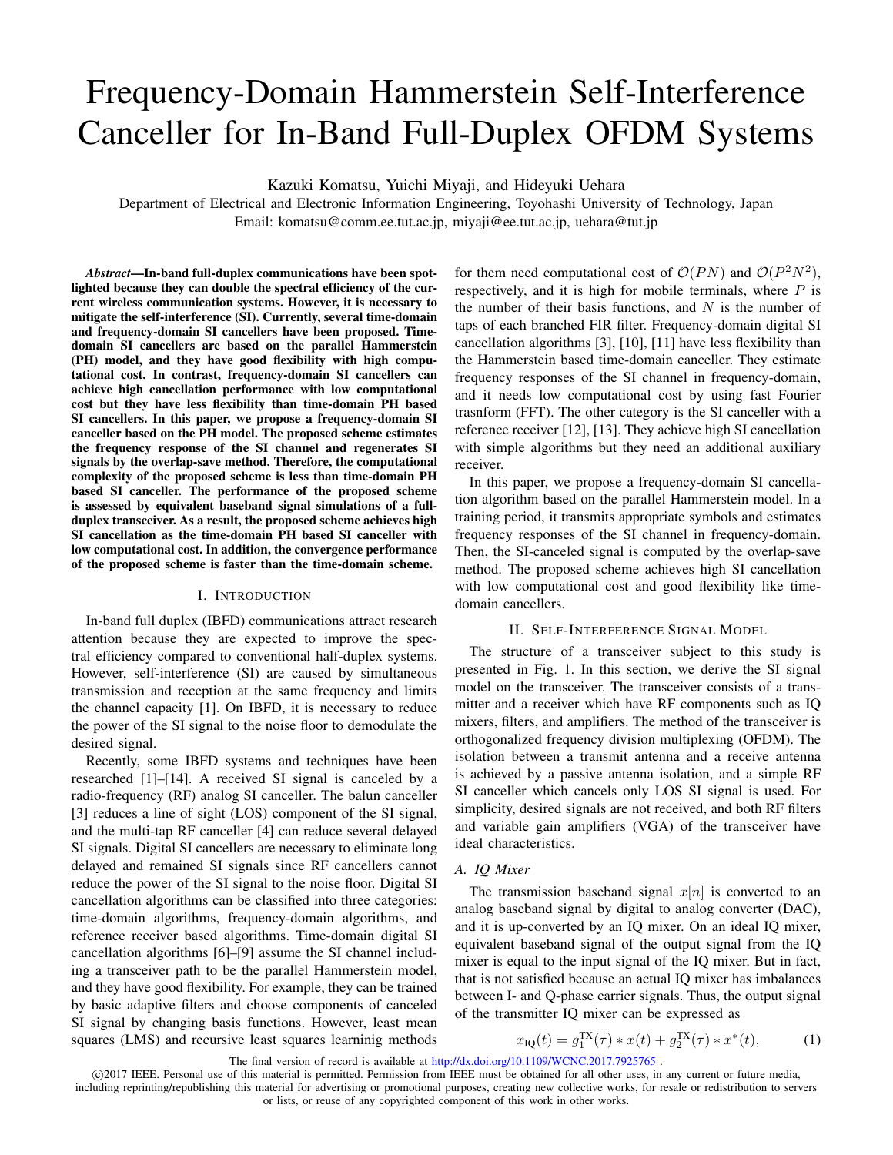# Frequency-Domain Hammerstein Self-Interference Canceller for In-Band Full-Duplex OFDM Systems

Kazuki Komatsu, Yuichi Miyaji, and Hideyuki Uehara

Department of Electrical and Electronic Information Engineering, Toyohashi University of Technology, Japan Email: komatsu@comm.ee.tut.ac.jp, miyaji@ee.tut.ac.jp, uehara@tut.jp

*Abstract*—In-band full-duplex communications have been spotlighted because they can double the spectral efficiency of the current wireless communication systems. However, it is necessary to mitigate the self-interference (SI). Currently, several time-domain and frequency-domain SI cancellers have been proposed. Timedomain SI cancellers are based on the parallel Hammerstein (PH) model, and they have good flexibility with high computational cost. In contrast, frequency-domain SI cancellers can achieve high cancellation performance with low computational cost but they have less flexibility than time-domain PH based SI cancellers. In this paper, we propose a frequency-domain SI canceller based on the PH model. The proposed scheme estimates the frequency response of the SI channel and regenerates SI signals by the overlap-save method. Therefore, the computational complexity of the proposed scheme is less than time-domain PH based SI canceller. The performance of the proposed scheme is assessed by equivalent baseband signal simulations of a fullduplex transceiver. As a result, the proposed scheme achieves high SI cancellation as the time-domain PH based SI canceller with low computational cost. In addition, the convergence performance of the proposed scheme is faster than the time-domain scheme.

#### I. INTRODUCTION

In-band full duplex (IBFD) communications attract research attention because they are expected to improve the spectral efficiency compared to conventional half-duplex systems. However, self-interference (SI) are caused by simultaneous transmission and reception at the same frequency and limits the channel capacity [\[1](#page-5-0)]. On IBFD, it is necessary to reduce the power of the SI signal to the noise floor to demodulate the desired signal.

Recently, some IBFD systems and techniques have been researched [[1\]](#page-5-0)–[\[14](#page-5-1)]. A received SI signal is canceled by a radio-frequency (RF) analog SI canceller. The balun canceller [\[3](#page-5-2)] reduces a line of sight (LOS) component of the SI signal, and the multi-tap RF canceller [[4\]](#page-5-3) can reduce several delayed SI signals. Digital SI cancellers are necessary to eliminate long delayed and remained SI signals since RF cancellers cannot reduce the power of the SI signal to the noise floor. Digital SI cancellation algorithms can be classified into three categories: time-domain algorithms, frequency-domain algorithms, and reference receiver based algorithms. Time-domain digital SI cancellation algorithms [[6\]](#page-5-4)–[[9\]](#page-5-5) assume the SI channel including a transceiver path to be the parallel Hammerstein model, and they have good flexibility. For example, they can be trained by basic adaptive filters and choose components of canceled SI signal by changing basis functions. However, least mean squares (LMS) and recursive least squares learninig methods

for them need computational cost of  $\mathcal{O}(PN)$  and  $\mathcal{O}(P^2N^2)$ , respectively, and it is high for mobile terminals, where *P* is the number of their basis functions, and *N* is the number of taps of each branched FIR filter. Frequency-domain digital SI cancellation algorithms [\[3](#page-5-2)], [\[10](#page-5-6)], [[11\]](#page-5-7) have less flexibility than the Hammerstein based time-domain canceller. They estimate frequency responses of the SI channel in frequency-domain, and it needs low computational cost by using fast Fourier trasnform (FFT). The other category is the SI canceller with a reference receiver [[12\]](#page-5-8), [\[13](#page-5-9)]. They achieve high SI cancellation with simple algorithms but they need an additional auxiliary receiver.

In this paper, we propose a frequency-domain SI cancellation algorithm based on the parallel Hammerstein model. In a training period, it transmits appropriate symbols and estimates frequency responses of the SI channel in frequency-domain. Then, the SI-canceled signal is computed by the overlap-save method. The proposed scheme achieves high SI cancellation with low computational cost and good flexibility like timedomain cancellers.

#### II. SELF-INTERFERENCE SIGNAL MODEL

The structure of a transceiver subject to this study is presented in Fig. [1.](#page-1-0) In this section, we derive the SI signal model on the transceiver. The transceiver consists of a transmitter and a receiver which have RF components such as IQ mixers, filters, and amplifiers. The method of the transceiver is orthogonalized frequency division multiplexing (OFDM). The isolation between a transmit antenna and a receive antenna is achieved by a passive antenna isolation, and a simple RF SI canceller which cancels only LOS SI signal is used. For simplicity, desired signals are not received, and both RF filters and variable gain amplifiers (VGA) of the transceiver have ideal characteristics.

## *A. IQ Mixer*

The transmission baseband signal  $x[n]$  is converted to an analog baseband signal by digital to analog converter (DAC), and it is up-converted by an IQ mixer. On an ideal IQ mixer, equivalent baseband signal of the output signal from the IQ mixer is equal to the input signal of the IQ mixer. But in fact, that is not satisfied because an actual IQ mixer has imbalances between I- and Q-phase carrier signals. Thus, the output signal of the transmitter IQ mixer can be expressed as

$$
x_{\rm IQ}(t) = g_1^{\rm TX}(\tau) * x(t) + g_2^{\rm TX}(\tau) * x^*(t),\tag{1}
$$

The final version of record is available at <http://dx.doi.org/10.1109/WCNC.2017.7925765>.

*<sup>⃝</sup>*c 2017 IEEE. Personal use of this material is permitted. Permission from IEEE must be obtained for all other uses, in any current or future media, including reprinting/republishing this material for advertising or promotional purposes, creating new collective works, for resale or redistribution to servers or lists, or reuse of any copyrighted component of this work in other works.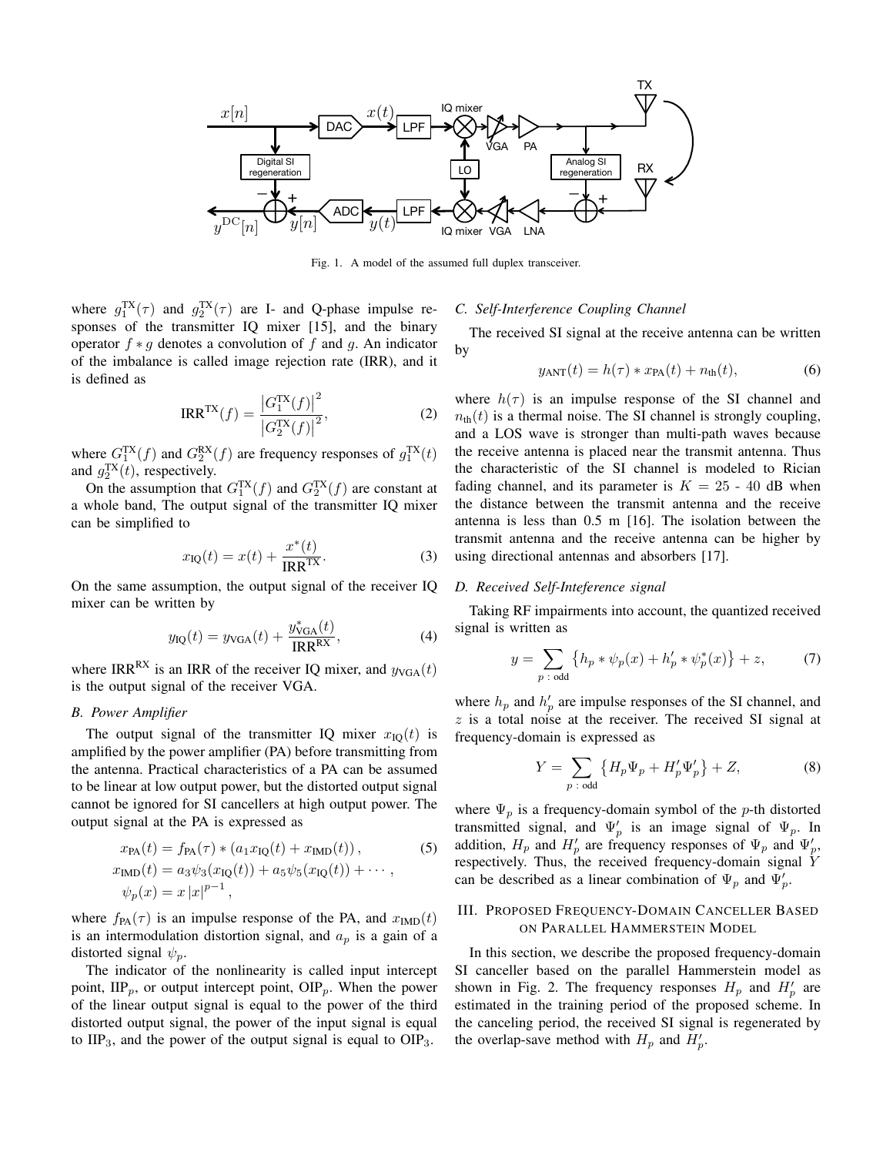

 $P_{\text{e}}(n) = P_{\text{e}}(n)$   $P_{\text{e}}(n) = P_{\text{e}}(n)$  $P_{16}$ ,  $P_{26}$   $P_{16}$   $P_{17}$   $P_{18}$   $P_{19}$ Fig. 1. A model of the assumed full duplex transceiver.

sponses of the transmitter IQ mixer [[15\]](#page-5-10), and the binary  $f * g$  denotes a convolution of *f* and *g*. An indicator of the imbalance is called image rejection rate (IRR), and it is defined as is defined as

$$
IRR^{TX}(f) = \frac{|G_1^{TX}(f)|^2}{|G_2^{TX}(f)|^2},
$$
\n(2)

where  $G_1^{\text{TX}}(f)$  and  $G_2^{\text{RX}}(f)$  are frequency responses of  $g_1^{\text{TX}}(t)$ and  $g_2^{TX}(t)$ , respectively.

On the assumption that  $G_1^{TX}(f)$  and  $G_2^{TX}(f)$  are constant at a whole band, The output signal of the transmitter IQ mixer can be simplified to

$$
x_{\rm IQ}(t) = x(t) + \frac{x^*(t)}{\text{IRR}^{\text{TX}}}.
$$
 (3)

On the same assumption, the output signal of the receiver IQ mixer can be written by

$$
y_{\rm IQ}(t) = y_{\rm VGA}(t) + \frac{y_{\rm VGA}^*(t)}{\rm IRR}.
$$
\n(4)

where IRR<sup>RX</sup> is an IRR of the receiver IQ mixer, and  $y_{VGA}(t)$ is the output signal of the receiver VGA.

## *B. Power Amplifier*

The output signal of the transmitter IQ mixer  $x_{\text{IQ}}(t)$  is amplified by the power amplifier (PA) before transmitting from the antenna. Practical characteristics of a PA can be assumed to be linear at low output power, but the distorted output signal cannot be ignored for SI cancellers at high output power. The output signal at the PA is expressed as

$$
x_{PA}(t) = f_{PA}(\tau) * (a_1 x_{IQ}(t) + x_{IMD}(t)),
$$
\n
$$
x_{IMD}(t) = a_3 \psi_3(x_{IQ}(t)) + a_5 \psi_5(x_{IQ}(t)) + \cdots,
$$
\n
$$
\psi_p(x) = x |x|^{p-1},
$$
\n(5)

where  $f_{PA}(\tau)$  is an impulse response of the PA, and  $x_{IMD}(t)$ is an intermodulation distortion signal, and  $a_p$  is a gain of a distorted signal *ψp*.

The indicator of the nonlinearity is called input intercept point,  $\text{IP}_p$ , or output intercept point,  $\text{OP}_p$ . When the power of the linear output signal is equal to the power of the third distorted output signal, the power of the input signal is equal to  $\text{HP}_3$ , and the power of the output signal is equal to  $\text{OP}_3$ .

#### <span id="page-1-0"></span>*C. Self-Interference Coupling Channel*

The received SI signal at the receive antenna can be written by

$$
y_{\text{ANT}}(t) = h(\tau) * x_{\text{PA}}(t) + n_{\text{th}}(t), \tag{6}
$$

where  $h(\tau)$  is an impulse response of the SI channel and  $n_{\text{th}}(t)$  is a thermal noise. The SI channel is strongly coupling, and a LOS wave is stronger than multi-path waves because the receive antenna is placed near the transmit antenna. Thus the characteristic of the SI channel is modeled to Rician fading channel, and its parameter is  $K = 25 - 40$  dB when the distance between the transmit antenna and the receive antenna is less than 0.5 m [\[16](#page-5-11)]. The isolation between the transmit antenna and the receive antenna can be higher by using directional antennas and absorbers [\[17](#page-5-12)].

#### *D. Received Self-Inteference signal*

Taking RF impairments into account, the quantized received signal is written as

$$
y = \sum_{p \text{ : odd}} \{ h_p * \psi_p(x) + h'_p * \psi_p^*(x) \} + z,
$$
 (7)

where  $h_p$  and  $h'_p$  are impulse responses of the SI channel, and *z* is a total noise at the receiver. The received SI signal at frequency-domain is expressed as

$$
Y = \sum_{p \text{ : odd}} \left\{ H_p \Psi_p + H'_p \Psi'_p \right\} + Z,\tag{8}
$$

where  $\Psi_p$  is a frequency-domain symbol of the *p*-th distorted transmitted signal, and  $\Psi'_p$  is an image signal of  $\Psi_p$ . In addition,  $H_p$  and  $H'_p$  are frequency responses of  $\Psi_p$  and  $\Psi'_p$ , respectively. Thus, the received frequency-domain signal *Y* can be described as a linear combination of  $\Psi_p$  and  $\Psi'_p$ .

## III. PROPOSED FREQUENCY-DOMAIN CANCELLER BASED ON PARALLEL HAMMERSTEIN MODEL

In this section, we describe the proposed frequency-domain SI canceller based on the parallel Hammerstein model as shown in Fig. [2.](#page-2-0) The frequency responses  $H_p$  and  $H'_p$  are estimated in the training period of the proposed scheme. In the canceling period, the received SI signal is regenerated by the overlap-save method with  $H_p$  and  $H'_p$ .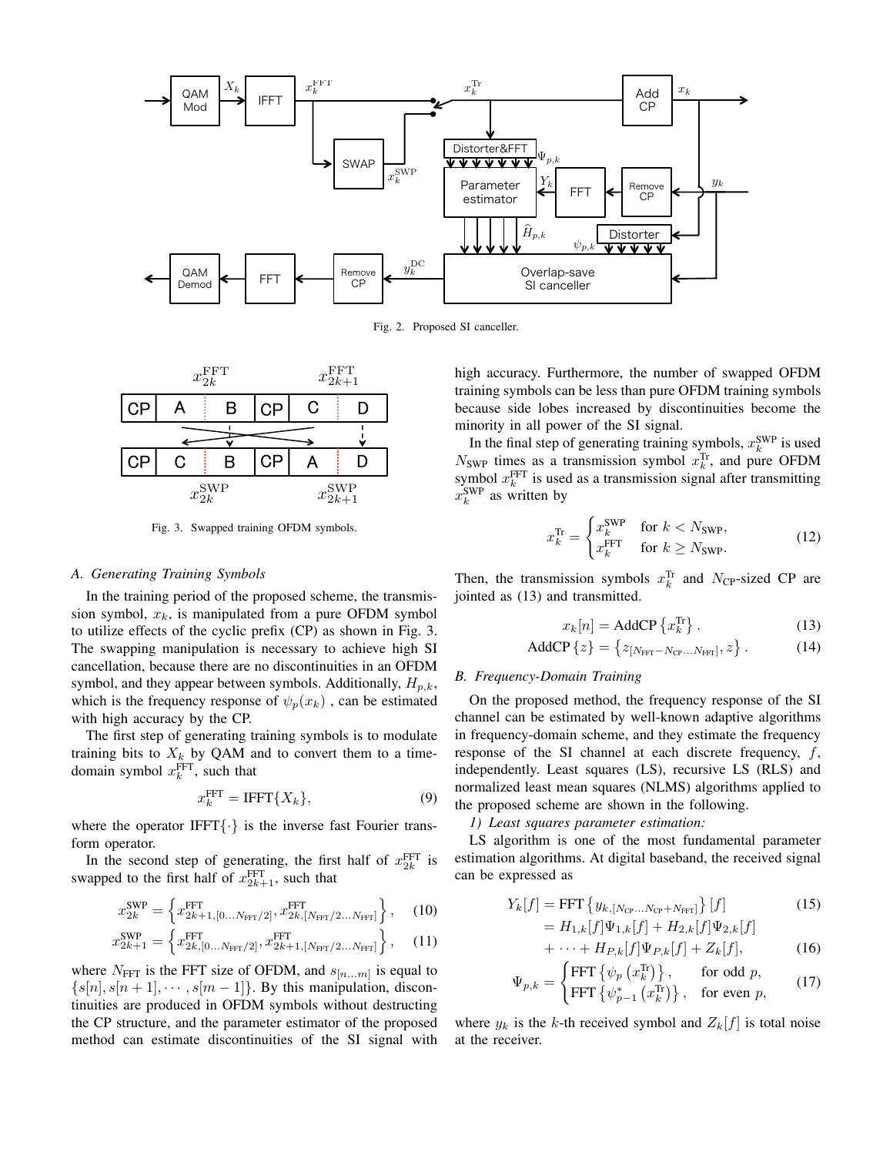

<span id="page-2-0"></span>Fig. 2. Proposed SI canceller.



<span id="page-2-1"></span>Fig. 3. Swapped training OFDM symbols.

#### *A. Generating Training Symbols*

In the training period of the proposed scheme, the transmission symbol, *xk*, is manipulated from a pure OFDM symbol to utilize effects of the cyclic prefix (CP) as shown in Fig. [3.](#page-2-1) The swapping manipulation is necessary to achieve high SI cancellation, because there are no discontinuities in an OFDM symbol, and they appear between symbols. Additionally, *Hp,k*, which is the frequency response of  $\psi_p(x_k)$ , can be estimated with high accuracy by the CP.

The first step of generating training symbols is to modulate training bits to  $X_k$  by QAM and to convert them to a timedomain symbol  $x_k^{\text{FFT}}$ , such that

$$
x_k^{\text{FFT}} = \text{IFFT}\{X_k\},\tag{9}
$$

where the operator IFFT*{·}* is the inverse fast Fourier transform operator.

In the second step of generating, the first half of  $x_{2k}^{\text{FFT}}$  is swapped to the first half of  $x_{2k+1}^{\text{FFT}}$ , such that

$$
x_{2k}^{\text{SWP}} = \left\{ x_{2k+1, [0...N_{\text{FFT}}/2]}^{\text{FFT}}, x_{2k, [N_{\text{FFT}}/2...N_{\text{FFT}}]}^{\text{FFT}} \right\},\tag{10}
$$

$$
x_{2k+1}^{\text{SWP}} = \left\{ x_{2k, [0...N_{\text{FFT}}/2]}^{\text{FFT}}, x_{2k+1, [N_{\text{FFT}}/2...N_{\text{FFT}}]}^{\text{FFT}} \right\}, \quad (11)
$$

where  $N_{\text{FFT}}$  is the FFT size of OFDM, and  $s_{[n...m]}$  is equal to  $\{s[n], s[n+1], \cdots, s[m-1]\}$ . By this manipulation, discontinuities are produced in OFDM symbols without destructing the CP structure, and the parameter estimator of the proposed method can estimate discontinuities of the SI signal with high accuracy. Furthermore, the number of swapped OFDM training symbols can be less than pure OFDM training symbols because side lobes increased by discontinuities become the minority in all power of the SI signal.

In the final step of generating training symbols,  $x_k^{\text{SWP}}$  is used  $N_{SWP}$  times as a transmission symbol  $x_k^{\text{Tr}}$ , and pure OFDM symbol  $x_k^{\text{FFT}}$  is used as a transmission signal after transmitting  $x_k^{\text{SWP}}$  as written by

$$
x_k^{\text{Tr}} = \begin{cases} x_k^{\text{SWP}} & \text{for } k < N_{\text{SWP}},\\ x_k^{\text{FFT}} & \text{for } k \ge N_{\text{SWP}}. \end{cases} \tag{12}
$$

Then, the transmission symbols  $x_k^{\text{Tr}}$  and  $N_{\text{CP}}$ -sized CP are jointed as [\(13](#page-2-2)) and transmitted.

<span id="page-2-2"></span>
$$
x_k[n] = \text{AddCP}\left\{x_k^{\text{Tr}}\right\}.
$$
 (13)

$$
\text{AddCP}\left\{z\right\} = \left\{z_{\left[N_{\text{FFT}}-N_{\text{CP}}\ldots N_{\text{FFT}}\right]}, z\right\}.
$$
 (14)

## *B. Frequency-Domain Training*

On the proposed method, the frequency response of the SI channel can be estimated by well-known adaptive algorithms in frequency-domain scheme, and they estimate the frequency response of the SI channel at each discrete frequency, *f*, independently. Least squares (LS), recursive LS (RLS) and normalized least mean squares (NLMS) algorithms applied to the proposed scheme are shown in the following.

*1) Least squares parameter estimation:*

LS algorithm is one of the most fundamental parameter estimation algorithms. At digital baseband, the received signal can be expressed as

$$
Y_k[f] = \text{FFT} \{ y_{k,[N_{\text{CP}}...N_{\text{CP}}+N_{\text{FFT}}]} \} [f] \tag{15}
$$
  
=  $H_{1,k}[f] \Psi_{1,k}[f] + H_{2,k}[f] \Psi_{2,k}[f]$ 

$$
+\cdots+H_{P,k}[f]\Psi_{P,k}[f]+Z_{k}[f], \qquad (16)
$$

$$
\Psi_{p,k} = \begin{cases}\n\text{FFT}\left\{\psi_p\left(x_k^{\text{Tr}}\right)\right\}, & \text{for odd } p, \\
\text{FFT}\left\{\psi_{p-1}^*\left(x_k^{\text{Tr}}\right)\right\}, & \text{for even } p,\n\end{cases} \tag{17}
$$

where  $y_k$  is the *k*-th received symbol and  $Z_k[f]$  is total noise at the receiver.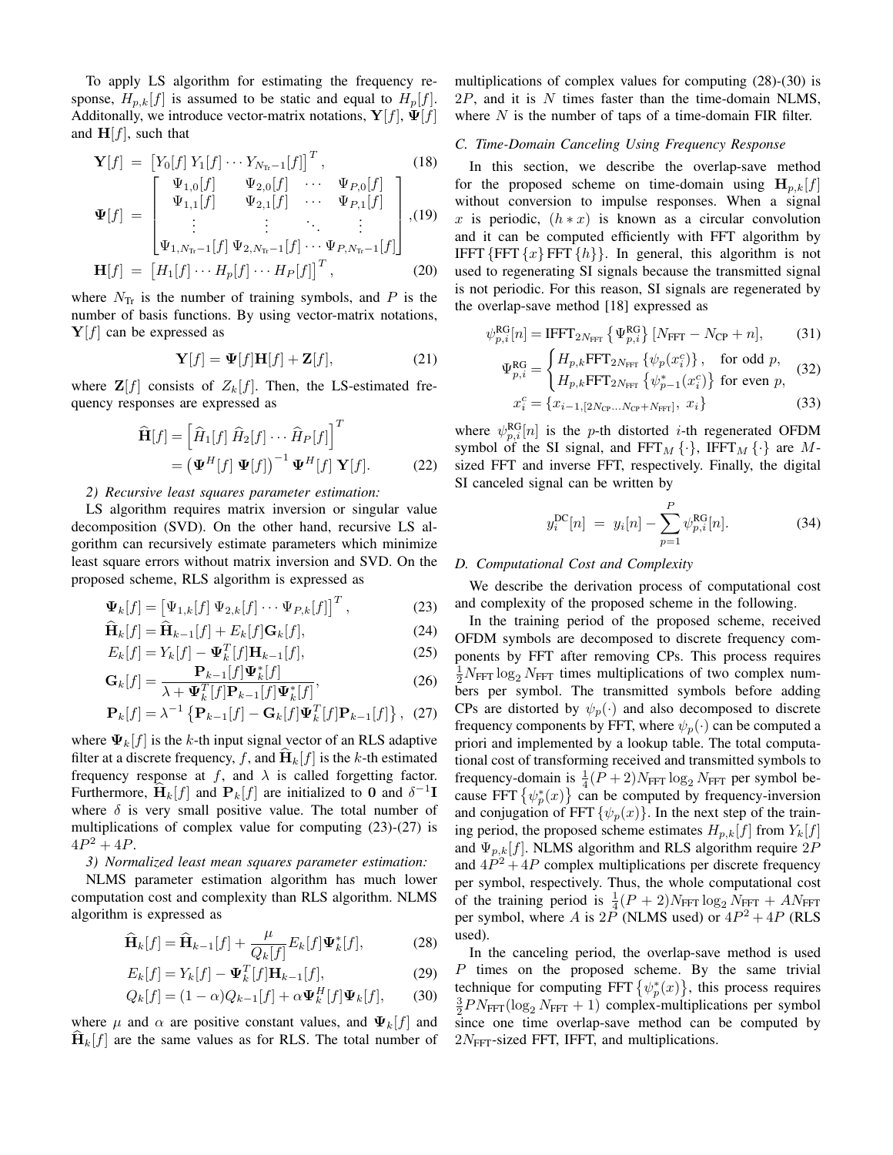To apply LS algorithm for estimating the frequency response,  $H_{p,k}[f]$  is assumed to be static and equal to  $H_p[f]$ . Additonally, we introduce vector-matrix notations,  $\mathbf{Y}[f], \mathbf{\Psi}[f]$ and  $H[f]$ , such that

$$
\mathbf{Y}[f] = \begin{bmatrix} Y_0[f] \ Y_1[f] \cdots Y_{N_{\text{Tr}}-1}[f] \end{bmatrix}^T, \qquad (18)
$$

$$
\begin{bmatrix} \Psi_{1,0}[f] & \Psi_{2,0}[f] & \cdots & \Psi_{P,0}[f] \end{bmatrix}
$$

$$
\Psi[f] = \begin{bmatrix} \Psi_{1,0}[f] & \Psi_{2,0}[f] & \cdots & \Psi_{P,0}[f] \\ \Psi_{1,1}[f] & \Psi_{2,1}[f] & \cdots & \Psi_{P,1}[f] \\ \vdots & \vdots & \ddots & \vdots \\ \Psi_{1,N_{\text{Tr}}-1}[f] \Psi_{2,N_{\text{Tr}}-1}[f] & \cdots & \Psi_{P,N_{\text{Tr}}-1}[f] \end{bmatrix}, (19)
$$
\n
$$
\mathbf{H}[f] = [H_1[f] \cdots H_p[f] \cdots H_P[f]]^T, \qquad (20)
$$

 $\cdots$   $H$ <sub> $P$ </sub> $|J|$ , *,* (20) where  $N_{\text{Tr}}$  is the number of training symbols, and *P* is the

number of basis functions. By using vector-matrix notations,  $\mathbf{Y}[f]$  can be expressed as

$$
\mathbf{Y}[f] = \mathbf{\Psi}[f]\mathbf{H}[f] + \mathbf{Z}[f],\tag{21}
$$

where  $\mathbf{Z}[f]$  consists of  $Z_k[f]$ . Then, the LS-estimated frequency responses are expressed as

$$
\widehat{\mathbf{H}}[f] = \left[\widehat{H}_1[f] \widehat{H}_2[f] \cdots \widehat{H}_P[f]\right]^T
$$

$$
= \left(\mathbf{\Psi}^H[f] \mathbf{\Psi}[f]\right)^{-1} \mathbf{\Psi}^H[f] \mathbf{Y}[f]. \tag{22}
$$

## *2) Recursive least squares parameter estimation:*

LS algorithm requires matrix inversion or singular value decomposition (SVD). On the other hand, recursive LS algorithm can recursively estimate parameters which minimize least square errors without matrix inversion and SVD. On the proposed scheme, RLS algorithm is expressed as

<span id="page-3-0"></span>
$$
\Psi_k[f] = \left[\Psi_{1,k}[f] \ \Psi_{2,k}[f] \cdots \Psi_{P,k}[f]\right]^T,\tag{23}
$$

$$
\mathbf{H}_k[f] = \mathbf{H}_{k-1}[f] + E_k[f]\mathbf{G}_k[f],\tag{24}
$$

$$
E_k[f] = Y_k[f] - \Psi_k^T[f] \mathbf{H}_{k-1}[f],
$$
\n
$$
\mathbf{P}_{k-1}[f] \Psi_k^*[f]
$$
\n(25)

$$
\mathbf{G}_k[f] = \frac{\mathbf{P}_{k-1}[f]\mathbf{\Psi}_k^*[f]}{\lambda + \mathbf{\Psi}_k^T[f]\mathbf{P}_{k-1}[f]\mathbf{\Psi}_k^*[f]},\tag{26}
$$

$$
\mathbf{P}_{k}[f] = \lambda^{-1} \left\{ \mathbf{P}_{k-1}[f] - \mathbf{G}_{k}[f] \mathbf{\Psi}_{k}^{T}[f] \mathbf{P}_{k-1}[f] \right\}, (27)
$$

where  $\Psi_k[f]$  is the *k*-th input signal vector of an RLS adaptive filter at a discrete frequency, f, and  $\mathbf{H}_k[f]$  is the k-th estimated frequency response at  $f$ , and  $\lambda$  is called forgetting factor. Furthermore,  $\mathbf{H}_k[f]$  and  $\mathbf{P}_k[f]$  are initialized to 0 and  $\delta^{-1}\mathbf{I}$ where  $\delta$  is very small positive value. The total number of multiplications of complex value for computing ([23\)](#page-3-0)-([27\)](#page-3-0) is  $4P^2 + 4P$ .

## *3) Normalized least mean squares parameter estimation:*

NLMS parameter estimation algorithm has much lower computation cost and complexity than RLS algorithm. NLMS algorithm is expressed as

<span id="page-3-1"></span>
$$
\widehat{\mathbf{H}}_k[f] = \widehat{\mathbf{H}}_{k-1}[f] + \frac{\mu}{Q_k[f]} E_k[f] \Psi_k^*[f],\tag{28}
$$

$$
E_k[f] = Y_k[f] - \mathbf{\Psi}_k^T[f] \mathbf{H}_{k-1}[f],\tag{29}
$$

$$
Q_k[f] = (1 - \alpha)Q_{k-1}[f] + \alpha \Psi_k^H[f] \Psi_k[f], \qquad (30)
$$

where  $\mu$  and  $\alpha$  are positive constant values, and  $\Psi_k[f]$  and  $\mathbf{H}_k[f]$  are the same values as for RLS. The total number of multiplications of complex values for computing [\(28](#page-3-1))-[\(30](#page-3-1)) is 2*P*, and it is *N* times faster than the time-domain NLMS, where *N* is the number of taps of a time-domain FIR filter.

#### *C. Time-Domain Canceling Using Frequency Response*

In this section, we describe the overlap-save method for the proposed scheme on time-domain using  $\mathbf{H}_{p,k}[f]$ without conversion to impulse responses. When a signal *x* is periodic,  $(h * x)$  is known as a circular convolution and it can be computed efficiently with FFT algorithm by **IFFT**  $\{FFT\{x\}$  FFT $\{h\}\}\$ . In general, this algorithm is not used to regenerating SI signals because the transmitted signal is not periodic. For this reason, SI signals are regenerated by the overlap-save method [\[18](#page-5-13)] expressed as

$$
\psi_{p,i}^{\text{RG}}[n] = \text{IFFT}_{2N_{\text{FFT}}} \left\{ \Psi_{p,i}^{\text{RG}} \right\} [N_{\text{FFT}} - N_{\text{CP}} + n],\tag{31}
$$

$$
\Psi_{p,i}^{\text{RG}} = \begin{cases} H_{p,k} \text{FFT}_{2N_{\text{FFT}}} \left\{ \psi_p(x_i^c) \right\}, & \text{for odd } p, \\ H_{p,k} \text{FFT}_{2N_{\text{FFT}}} \left\{ \psi_{p-1}^*(x_i^c) \right\} & \text{for even } p, \end{cases}
$$
 (32)

$$
x_i^c = \{x_{i-1,[2N_{\rm CP}...N_{\rm CP}+N_{\rm FFT}]}, x_i\}
$$
 (33)

where  $\psi_{p,i}^{\text{RG}}[n]$  is the *p*-th distorted *i*-th regenerated OFDM symbol of the SI signal, and  $\text{FFT}_M \{\cdot\}$ ,  $\text{IFFT}_M \{\cdot\}$  are Msized FFT and inverse FFT, respectively. Finally, the digital SI canceled signal can be written by

$$
y_i^{DC}[n] = y_i[n] - \sum_{p=1}^{P} \psi_{p,i}^{RG}[n].
$$
 (34)

#### *D. Computational Cost and Complexity*

We describe the derivation process of computational cost and complexity of the proposed scheme in the following.

In the training period of the proposed scheme, received OFDM symbols are decomposed to discrete frequency components by FFT after removing CPs. This process requires  $\frac{1}{2}N_{\text{FFT}}\log_2 N_{\text{FFT}}$  times multiplications of two complex numbers per symbol. The transmitted symbols before adding CPs are distorted by  $\psi_p(\cdot)$  and also decomposed to discrete frequency components by FFT, where  $\psi_p(\cdot)$  can be computed a priori and implemented by a lookup table. The total computational cost of transforming received and transmitted symbols to frequency-domain is  $\frac{1}{4}(P+2)N_{\text{FFT}}\log_2 N_{\text{FFT}}$  per symbol because FFT  $\{\psi_p^*(x)\}$  can be computed by frequency-inversion and conjugation of FFT  $\{\psi_p(x)\}\$ . In the next step of the training period, the proposed scheme estimates  $H_{p,k}[f]$  from  $Y_k[f]$ and Ψ*p,k*[*f*]. NLMS algorithm and RLS algorithm require 2*P* and  $4P^2 + 4P$  complex multiplications per discrete frequency per symbol, respectively. Thus, the whole computational cost of the training period is  $\frac{1}{4}(P+2)N_{\text{FFT}}\log_2 N_{\text{FFT}} + AN_{\text{FFT}}$ per symbol, where *A* is  $2\overrightarrow{P}$  (NLMS used) or  $4P^2 + 4P$  (RLS used).

In the canceling period, the overlap-save method is used *P* times on the proposed scheme. By the same trivial technique for computing FFT  $\{\psi_p^*(x)\}$ , this process requires  $\frac{3}{2}PN_{\text{FFT}}(\log_2 N_{\text{FFT}} + 1)$  complex-multiplications per symbol since one time overlap-save method can be computed by 2*N*<sub>FFT</sub>-sized FFT, IFFT, and multiplications.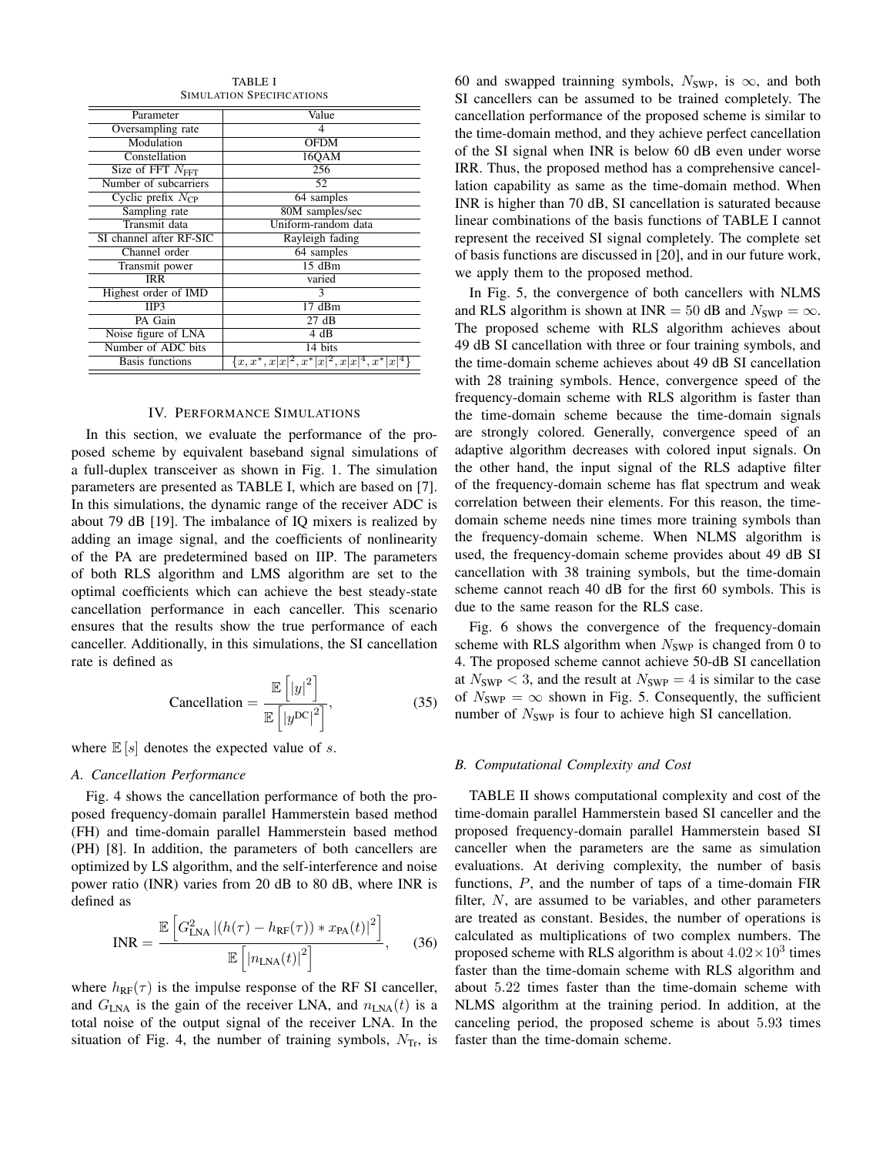TABLE I SIMULATION SPECIFICATIONS

<span id="page-4-0"></span>

| Value                                          |  |  |
|------------------------------------------------|--|--|
| 4                                              |  |  |
| <b>OFDM</b>                                    |  |  |
| 160AM                                          |  |  |
| 256                                            |  |  |
| 52                                             |  |  |
| 64 samples                                     |  |  |
| 80M samples/sec                                |  |  |
| Uniform-random data                            |  |  |
| Rayleigh fading                                |  |  |
| 64 samples                                     |  |  |
| 15dBm                                          |  |  |
| varied                                         |  |  |
| 3                                              |  |  |
| $17$ dBm                                       |  |  |
| 27 dB                                          |  |  |
| 4 dB                                           |  |  |
| 14 bits                                        |  |  |
| ${x, x^*, x x ^2, x^* x ^2, x x ^4, x^* x ^4}$ |  |  |
|                                                |  |  |

## IV. PERFORMANCE SIMULATIONS

In this section, we evaluate the performance of the proposed scheme by equivalent baseband signal simulations of a full-duplex transceiver as shown in Fig. [1.](#page-1-0) The simulation parameters are presented as TABLE [I](#page-4-0), which are based on [\[7](#page-5-14)]. In this simulations, the dynamic range of the receiver ADC is about 79 dB [\[19](#page-5-15)]. The imbalance of IQ mixers is realized by adding an image signal, and the coefficients of nonlinearity of the PA are predetermined based on IIP. The parameters of both RLS algorithm and LMS algorithm are set to the optimal coefficients which can achieve the best steady-state cancellation performance in each canceller. This scenario ensures that the results show the true performance of each canceller. Additionally, in this simulations, the SI cancellation rate is defined as

$$
\text{Cancellation} = \frac{\mathbb{E}\left[|y|^2\right]}{\mathbb{E}\left[|y^{\text{DC}}|^2\right]},\tag{35}
$$

where  $\mathbb{E}[s]$  denotes the expected value of *s*.

#### *A. Cancellation Performance*

Fig. [4](#page-5-16) shows the cancellation performance of both the proposed frequency-domain parallel Hammerstein based method (FH) and time-domain parallel Hammerstein based method (PH) [\[8](#page-5-17)]. In addition, the parameters of both cancellers are optimized by LS algorithm, and the self-interference and noise power ratio (INR) varies from 20 dB to 80 dB, where INR is defined as

$$
INR = \frac{\mathbb{E}\left[G_{\text{LNA}}^2 \left|\left(h(\tau) - h_{\text{RF}}(\tau)\right) * x_{\text{PA}}(t)\right|^2\right]}{\mathbb{E}\left[\left|n_{\text{LNA}}(t)\right|^2\right]},\qquad(36)
$$

where  $h_{RF}(\tau)$  is the impulse response of the RF SI canceller, and  $G_{\text{LNA}}$  is the gain of the receiver LNA, and  $n_{\text{LNA}}(t)$  is a total noise of the output signal of the receiver LNA. In the situation of Fig. [4](#page-5-16), the number of training symbols,  $N_{\text{Tr}}$ , is

60 and swapped trainning symbols,  $N_{SWP}$ , is  $\infty$ , and both SI cancellers can be assumed to be trained completely. The cancellation performance of the proposed scheme is similar to the time-domain method, and they achieve perfect cancellation of the SI signal when INR is below 60 dB even under worse IRR. Thus, the proposed method has a comprehensive cancellation capability as same as the time-domain method. When INR is higher than 70 dB, SI cancellation is saturated because linear combinations of the basis functions of TABLE [I](#page-4-0) cannot represent the received SI signal completely. The complete set of basis functions are discussed in [\[20](#page-5-18)], and in our future work, we apply them to the proposed method.

In Fig. [5](#page-5-19), the convergence of both cancellers with NLMS and RLS algorithm is shown at INR = 50 dB and  $N_{SWP} = \infty$ . The proposed scheme with RLS algorithm achieves about 49 dB SI cancellation with three or four training symbols, and the time-domain scheme achieves about 49 dB SI cancellation with 28 training symbols. Hence, convergence speed of the frequency-domain scheme with RLS algorithm is faster than the time-domain scheme because the time-domain signals are strongly colored. Generally, convergence speed of an adaptive algorithm decreases with colored input signals. On the other hand, the input signal of the RLS adaptive filter of the frequency-domain scheme has flat spectrum and weak correlation between their elements. For this reason, the timedomain scheme needs nine times more training symbols than the frequency-domain scheme. When NLMS algorithm is used, the frequency-domain scheme provides about 49 dB SI cancellation with 38 training symbols, but the time-domain scheme cannot reach 40 dB for the first 60 symbols. This is due to the same reason for the RLS case.

Fig. [6](#page-5-20) shows the convergence of the frequency-domain scheme with RLS algorithm when  $N_{SWP}$  is changed from 0 to 4. The proposed scheme cannot achieve 50-dB SI cancellation at  $N_{SWP}$  < 3, and the result at  $N_{SWP} = 4$  is similar to the case of  $N_{SWP} = \infty$  shown in Fig. [5.](#page-5-19) Consequently, the sufficient number of  $N_{\text{SWP}}$  is four to achieve high SI cancellation.

#### *B. Computational Complexity and Cost*

TABLE [II](#page-5-21) shows computational complexity and cost of the time-domain parallel Hammerstein based SI canceller and the proposed frequency-domain parallel Hammerstein based SI canceller when the parameters are the same as simulation evaluations. At deriving complexity, the number of basis functions, *P*, and the number of taps of a time-domain FIR filter, *N*, are assumed to be variables, and other parameters are treated as constant. Besides, the number of operations is calculated as multiplications of two complex numbers. The proposed scheme with RLS algorithm is about  $4.02 \times 10^3$  times faster than the time-domain scheme with RLS algorithm and about 5*.*22 times faster than the time-domain scheme with NLMS algorithm at the training period. In addition, at the canceling period, the proposed scheme is about 5*.*93 times faster than the time-domain scheme.